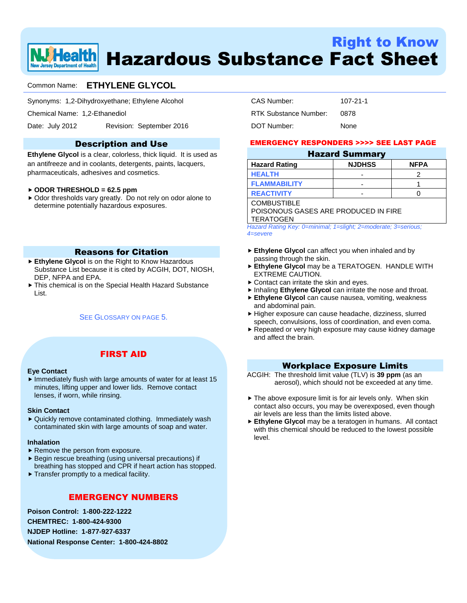

# Right to Know Hazardous Substance Fact Sheet

# Common Name: **ETHYLENE GLYCOL**

Synonyms: 1,2-Dihydroxyethane; Ethylene Alcohol

Chemical Name: 1,2-Ethanediol

Date: July 2012 Revision: September 2016

### Description and Use

**Ethylene Glycol** is a clear, colorless, thick liquid. It is used as an antifreeze and in coolants, detergents, paints, lacquers, pharmaceuticals, adhesives and cosmetics.

#### **ODOR THRESHOLD = 62.5 ppm**

 Odor thresholds vary greatly. Do not rely on odor alone to determine potentially hazardous exposures.

### Reasons for Citation

- ► Ethylene Glycol is on the Right to Know Hazardous Substance List because it is cited by ACGIH, DOT, NIOSH, DEP, NFPA and EPA.
- This chemical is on the Special Health Hazard Substance List.

#### SEE GLOSSARY ON PAGE 5.

# FIRST AID

#### **Eye Contact**

 $\blacktriangleright$  Immediately flush with large amounts of water for at least 15 minutes, lifting upper and lower lids. Remove contact lenses, if worn, while rinsing.

#### **Skin Contact**

 Quickly remove contaminated clothing. Immediately wash contaminated skin with large amounts of soap and water.

#### **Inhalation**

- ▶ Remove the person from exposure.
- $\triangleright$  Begin rescue breathing (using universal precautions) if breathing has stopped and CPR if heart action has stopped.
- $\blacktriangleright$  Transfer promptly to a medical facility.

#### EMERGENCY NUMBERS

**Poison Control: 1-800-222-1222 CHEMTREC: 1-800-424-9300 NJDEP Hotline: 1-877-927-6337 National Response Center: 1-800-424-8802**

| CAS Number:           | $107 - 21 - 1$ |
|-----------------------|----------------|
| RTK Substance Number: | 0878           |
| DOT Number:           | None           |

#### EMERGENCY RESPONDERS >>>> SEE LAST PAGE

| <b>Hazard Summary</b> |               |             |  |  |  |  |  |  |
|-----------------------|---------------|-------------|--|--|--|--|--|--|
| <b>Hazard Rating</b>  | <b>NJDHSS</b> | <b>NFPA</b> |  |  |  |  |  |  |
| <b>HEALTH</b>         |               |             |  |  |  |  |  |  |
| <b>FLAMMABILITY</b>   |               |             |  |  |  |  |  |  |
| <b>REACTIVITY</b>     |               |             |  |  |  |  |  |  |

**COMBUSTIBLE** POISONOUS GASES ARE PRODUCED IN FIRE TERATOGEN

*Hazard Rating Key: 0=minimal; 1=slight; 2=moderate; 3=serious; 4=severe*

- **Ethylene Glycol** can affect you when inhaled and by passing through the skin.
- **Ethylene Glycol** may be a TERATOGEN. HANDLE WITH EXTREME CAUTION.
- ▶ Contact can irritate the skin and eyes.
- Inhaling **Ethylene Glycol** can irritate the nose and throat.
- **Ethylene Glycol** can cause nausea, vomiting, weakness and abdominal pain.
- Higher exposure can cause headache, dizziness, slurred speech, convulsions, loss of coordination, and even coma.
- ▶ Repeated or very high exposure may cause kidney damage and affect the brain.

#### Workplace Exposure Limits

- ACGIH: The threshold limit value (TLV) is **39 ppm** (as an aerosol), which should not be exceeded at any time.
- $\blacktriangleright$  The above exposure limit is for air levels only. When skin contact also occurs, you may be overexposed, even though air levels are less than the limits listed above.
- **Ethylene Glycol** may be a teratogen in humans. All contact with this chemical should be reduced to the lowest possible level.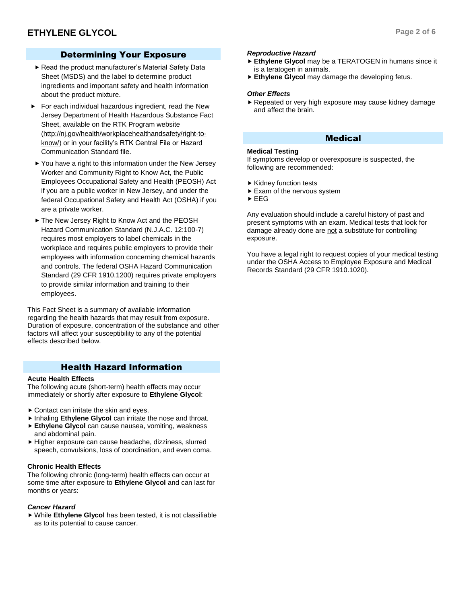# Determining Your Exposure

- Read the product manufacturer's Material Safety Data Sheet (MSDS) and the label to determine product ingredients and important safety and health information about the product mixture.
- For each individual hazardous ingredient, read the New Jersey Department of Health Hazardous Substance Fact Sheet, available on the RTK Program website (http://nj.gov/health/workplacehealthandsafety/right-toknow/) or in your facility's RTK Central File or Hazard Communication Standard file.
- ▶ You have a right to this information under the New Jersey Worker and Community Right to Know Act, the Public Employees Occupational Safety and Health (PEOSH) Act if you are a public worker in New Jersey, and under the federal Occupational Safety and Health Act (OSHA) if you are a private worker.
- ▶ The New Jersey Right to Know Act and the PEOSH Hazard Communication Standard (N.J.A.C. 12:100-7) requires most employers to label chemicals in the workplace and requires public employers to provide their employees with information concerning chemical hazards and controls. The federal OSHA Hazard Communication Standard (29 CFR 1910.1200) requires private employers to provide similar information and training to their employees.

This Fact Sheet is a summary of available information regarding the health hazards that may result from exposure. Duration of exposure, concentration of the substance and other factors will affect your susceptibility to any of the potential effects described below.

#### Health Hazard Information

#### **Acute Health Effects**

The following acute (short-term) health effects may occur immediately or shortly after exposure to **Ethylene Glycol**:

- ▶ Contact can irritate the skin and eyes.
- Inhaling **Ethylene Glycol** can irritate the nose and throat.
- **Ethylene Glycol** can cause nausea, vomiting, weakness and abdominal pain.
- Higher exposure can cause headache, dizziness, slurred speech, convulsions, loss of coordination, and even coma.

#### **Chronic Health Effects**

The following chronic (long-term) health effects can occur at some time after exposure to **Ethylene Glycol** and can last for months or years:

#### *Cancer Hazard*

 While **Ethylene Glycol** has been tested, it is not classifiable as to its potential to cause cancer.

#### *Reproductive Hazard*

- **Ethylene Glycol** may be a TERATOGEN in humans since it is a teratogen in animals.
- **Ethylene Glycol** may damage the developing fetus.

#### *Other Effects*

▶ Repeated or very high exposure may cause kidney damage and affect the brain.

# Medical

#### **Medical Testing**

If symptoms develop or overexposure is suspected, the following are recommended:

- $\blacktriangleright$  Kidney function tests
- Exam of the nervous system
- EEG

Any evaluation should include a careful history of past and present symptoms with an exam. Medical tests that look for damage already done are not a substitute for controlling exposure.

You have a legal right to request copies of your medical testing under the OSHA Access to Employee Exposure and Medical Records Standard (29 CFR 1910.1020).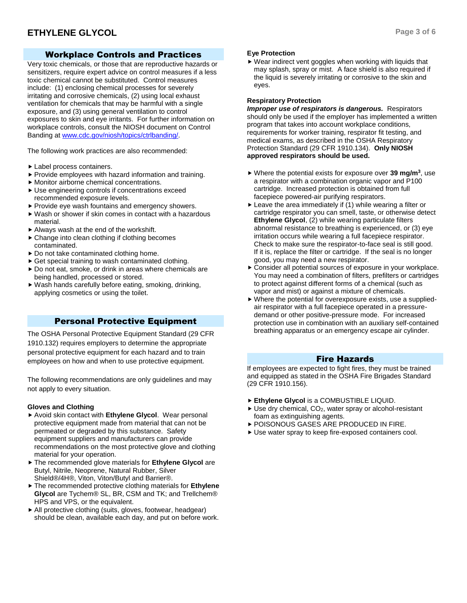# Workplace Controls and Practices

Very toxic chemicals, or those that are reproductive hazards or sensitizers, require expert advice on control measures if a less toxic chemical cannot be substituted. Control measures include: (1) enclosing chemical processes for severely irritating and corrosive chemicals, (2) using local exhaust ventilation for chemicals that may be harmful with a single exposure, and (3) using general ventilation to control exposures to skin and eye irritants. For further information on workplace controls, consult the NIOSH document on Control Banding a[t www.cdc.gov/niosh/topics/ctrlbanding/.](http://www.cdc.gov/niosh/topics/ctrlbanding/)

The following work practices are also recommended:

- Label process containers.
- $\blacktriangleright$  Provide employees with hazard information and training.
- Monitor airborne chemical concentrations.
- Use engineering controls if concentrations exceed recommended exposure levels.
- ▶ Provide eye wash fountains and emergency showers.
- Wash or shower if skin comes in contact with a hazardous material.
- Always wash at the end of the workshift.
- ▶ Change into clean clothing if clothing becomes contaminated.
- ▶ Do not take contaminated clothing home.
- ▶ Get special training to wash contaminated clothing.
- ▶ Do not eat, smoke, or drink in areas where chemicals are being handled, processed or stored.
- Wash hands carefully before eating, smoking, drinking, applying cosmetics or using the toilet.

# Personal Protective Equipment

The OSHA Personal Protective Equipment Standard (29 CFR 1910.132) requires employers to determine the appropriate personal protective equipment for each hazard and to train employees on how and when to use protective equipment.

The following recommendations are only guidelines and may not apply to every situation.

#### **Gloves and Clothing**

- Avoid skin contact with **Ethylene Glycol**. Wear personal protective equipment made from material that can not be permeated or degraded by this substance. Safety equipment suppliers and manufacturers can provide recommendations on the most protective glove and clothing material for your operation.
- The recommended glove materials for **Ethylene Glycol** are Butyl, Nitrile, Neoprene, Natural Rubber, Silver Shield®/4H®, Viton, Viton/Butyl and Barrier®.
- The recommended protective clothing materials for **Ethylene Glycol** are Tychem® SL, BR, CSM and TK; and Trellchem® HPS and VPS, or the equivalent.
- All protective clothing (suits, gloves, footwear, headgear) should be clean, available each day, and put on before work.

#### **Eye Protection**

 Wear indirect vent goggles when working with liquids that may splash, spray or mist. A face shield is also required if the liquid is severely irritating or corrosive to the skin and eyes.

#### **Respiratory Protection**

*Improper use of respirators is dangerous.* Respirators should only be used if the employer has implemented a written program that takes into account workplace conditions, requirements for worker training, respirator fit testing, and medical exams, as described in the OSHA Respiratory Protection Standard (29 CFR 1910.134). **Only NIOSH approved respirators should be used.**

- Where the potential exists for exposure over **39 mg/m<sup>3</sup>** , use a respirator with a combination organic vapor and P100 cartridge. Increased protection is obtained from full facepiece powered-air purifying respirators.
- Leave the area immediately if (1) while wearing a filter or cartridge respirator you can smell, taste, or otherwise detect **Ethylene Glycol**, (2) while wearing particulate filters abnormal resistance to breathing is experienced, or (3) eye irritation occurs while wearing a full facepiece respirator. Check to make sure the respirator-to-face seal is still good. If it is, replace the filter or cartridge. If the seal is no longer good, you may need a new respirator.
- Consider all potential sources of exposure in your workplace. You may need a combination of filters, prefilters or cartridges to protect against different forms of a chemical (such as vapor and mist) or against a mixture of chemicals.
- Where the potential for overexposure exists, use a suppliedair respirator with a full facepiece operated in a pressuredemand or other positive-pressure mode. For increased protection use in combination with an auxiliary self-contained breathing apparatus or an emergency escape air cylinder.

# Fire Hazards

If employees are expected to fight fires, they must be trained and equipped as stated in the OSHA Fire Brigades Standard (29 CFR 1910.156).

- **Ethylene Glycol** is a COMBUSTIBLE LIQUID.
- ▶ Use dry chemical, CO<sub>2</sub>, water spray or alcohol-resistant foam as extinguishing agents.
- POISONOUS GASES ARE PRODUCED IN FIRE.
- Use water spray to keep fire-exposed containers cool.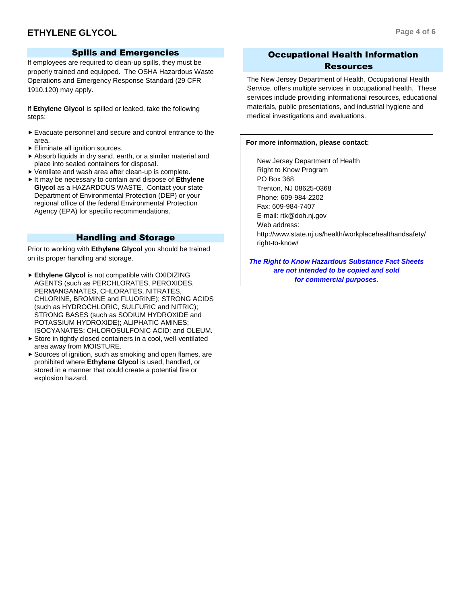# **ETHYLENE GLYCOL Page 4 of 6**

# Spills and Emergencies

If employees are required to clean-up spills, they must be properly trained and equipped. The OSHA Hazardous Waste Operations and Emergency Response Standard (29 CFR 1910.120) may apply.

If **Ethylene Glycol** is spilled or leaked, take the following steps:

- Evacuate personnel and secure and control entrance to the area.
- Eliminate all ignition sources.
- Absorb liquids in dry sand, earth, or a similar material and place into sealed containers for disposal.
- Ventilate and wash area after clean-up is complete.
- It may be necessary to contain and dispose of **Ethylene Glycol** as a HAZARDOUS WASTE. Contact your state Department of Environmental Protection (DEP) or your regional office of the federal Environmental Protection Agency (EPA) for specific recommendations.

# Handling and Storage

Prior to working with **Ethylene Glycol** you should be trained on its proper handling and storage.

- **Ethylene Glycol** is not compatible with OXIDIZING AGENTS (such as PERCHLORATES, PEROXIDES, PERMANGANATES, CHLORATES, NITRATES, CHLORINE, BROMINE and FLUORINE); STRONG ACIDS (such as HYDROCHLORIC, SULFURIC and NITRIC); STRONG BASES (such as SODIUM HYDROXIDE and POTASSIUM HYDROXIDE); ALIPHATIC AMINES; ISOCYANATES; CHLOROSULFONIC ACID; and OLEUM.
- Store in tightly closed containers in a cool, well-ventilated area away from MOISTURE.
- ▶ Sources of ignition, such as smoking and open flames, are prohibited where **Ethylene Glycol** is used, handled, or stored in a manner that could create a potential fire or explosion hazard.

# Occupational Health Information Resources

The New Jersey Department of Health, Occupational Health Service, offers multiple services in occupational health. These services include providing informational resources, educational materials, public presentations, and industrial hygiene and medical investigations and evaluations.

#### **For more information, please contact:**

New Jersey Department of Health Right to Know Program PO Box 368 Trenton, NJ 08625-0368 Phone: 609-984-2202 Fax: 609-984-7407 E-mail: rtk@doh.nj.gov Web address: http://www.state.nj.us/health/workplacehealthandsafety/ right-to-know/

*The Right to Know Hazardous Substance Fact Sheets are not intended to be copied and sold for commercial purposes.*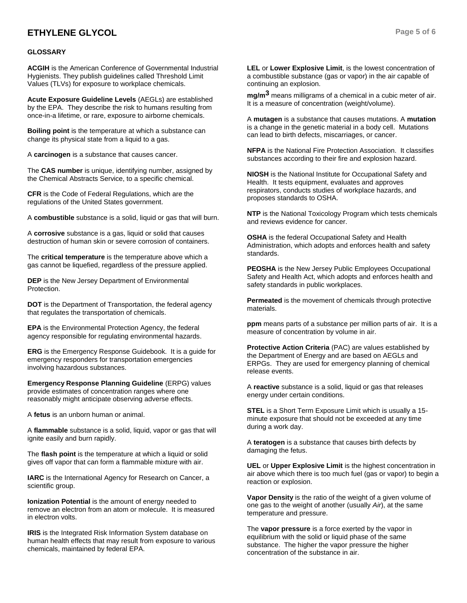# **ETHYLENE GLYCOL Page 5 of 6**

#### **GLOSSARY**

**ACGIH** is the American Conference of Governmental Industrial Hygienists. They publish guidelines called Threshold Limit Values (TLVs) for exposure to workplace chemicals.

**Acute Exposure Guideline Levels** (AEGLs) are established by the EPA. They describe the risk to humans resulting from once-in-a lifetime, or rare, exposure to airborne chemicals.

**Boiling point** is the temperature at which a substance can change its physical state from a liquid to a gas.

A **carcinogen** is a substance that causes cancer.

The **CAS number** is unique, identifying number, assigned by the Chemical Abstracts Service, to a specific chemical.

**CFR** is the Code of Federal Regulations, which are the regulations of the United States government.

A **combustible** substance is a solid, liquid or gas that will burn.

A **corrosive** substance is a gas, liquid or solid that causes destruction of human skin or severe corrosion of containers.

The **critical temperature** is the temperature above which a gas cannot be liquefied, regardless of the pressure applied.

**DEP** is the New Jersey Department of Environmental Protection.

**DOT** is the Department of Transportation, the federal agency that regulates the transportation of chemicals.

**EPA** is the Environmental Protection Agency, the federal agency responsible for regulating environmental hazards.

**ERG** is the Emergency Response Guidebook. It is a guide for emergency responders for transportation emergencies involving hazardous substances.

**Emergency Response Planning Guideline** (ERPG) values provide estimates of concentration ranges where one reasonably might anticipate observing adverse effects.

A **fetus** is an unborn human or animal.

A **flammable** substance is a solid, liquid, vapor or gas that will ignite easily and burn rapidly.

The **flash point** is the temperature at which a liquid or solid gives off vapor that can form a flammable mixture with air.

**IARC** is the International Agency for Research on Cancer, a scientific group.

**Ionization Potential** is the amount of energy needed to remove an electron from an atom or molecule. It is measured in electron volts.

**IRIS** is the Integrated Risk Information System database on human health effects that may result from exposure to various chemicals, maintained by federal EPA.

**LEL** or **Lower Explosive Limit**, is the lowest concentration of a combustible substance (gas or vapor) in the air capable of continuing an explosion.

**mg/m3** means milligrams of a chemical in a cubic meter of air. It is a measure of concentration (weight/volume).

A **mutagen** is a substance that causes mutations. A **mutation** is a change in the genetic material in a body cell. Mutations can lead to birth defects, miscarriages, or cancer.

**NFPA** is the National Fire Protection Association. It classifies substances according to their fire and explosion hazard.

**NIOSH** is the National Institute for Occupational Safety and Health. It tests equipment, evaluates and approves respirators, conducts studies of workplace hazards, and proposes standards to OSHA.

**NTP** is the National Toxicology Program which tests chemicals and reviews evidence for cancer.

**OSHA** is the federal Occupational Safety and Health Administration, which adopts and enforces health and safety standards.

**PEOSHA** is the New Jersey Public Employees Occupational Safety and Health Act, which adopts and enforces health and safety standards in public workplaces.

**Permeated** is the movement of chemicals through protective materials.

**ppm** means parts of a substance per million parts of air. It is a measure of concentration by volume in air.

**Protective Action Criteria** (PAC) are values established by the Department of Energy and are based on AEGLs and ERPGs. They are used for emergency planning of chemical release events.

A **reactive** substance is a solid, liquid or gas that releases energy under certain conditions.

**STEL** is a Short Term Exposure Limit which is usually a 15 minute exposure that should not be exceeded at any time during a work day.

A **teratogen** is a substance that causes birth defects by damaging the fetus.

**UEL** or **Upper Explosive Limit** is the highest concentration in air above which there is too much fuel (gas or vapor) to begin a reaction or explosion.

**Vapor Density** is the ratio of the weight of a given volume of one gas to the weight of another (usually *Air*), at the same temperature and pressure.

The **vapor pressure** is a force exerted by the vapor in equilibrium with the solid or liquid phase of the same substance. The higher the vapor pressure the higher concentration of the substance in air.